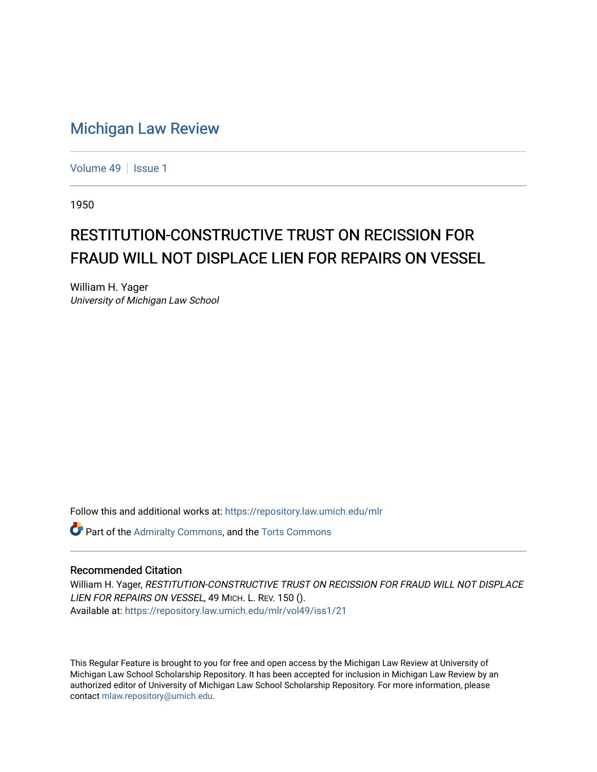## [Michigan Law Review](https://repository.law.umich.edu/mlr)

[Volume 49](https://repository.law.umich.edu/mlr/vol49) | [Issue 1](https://repository.law.umich.edu/mlr/vol49/iss1)

1950

## RESTITUTION-CONSTRUCTIVE TRUST ON RECISSION FOR FRAUD WILL NOT DISPLACE LIEN FOR REPAIRS ON VESSEL

William H. Yager University of Michigan Law School

Follow this and additional works at: [https://repository.law.umich.edu/mlr](https://repository.law.umich.edu/mlr?utm_source=repository.law.umich.edu%2Fmlr%2Fvol49%2Fiss1%2F21&utm_medium=PDF&utm_campaign=PDFCoverPages) 

**C** Part of the [Admiralty Commons](http://network.bepress.com/hgg/discipline/580?utm_source=repository.law.umich.edu%2Fmlr%2Fvol49%2Fiss1%2F21&utm_medium=PDF&utm_campaign=PDFCoverPages), and the [Torts Commons](http://network.bepress.com/hgg/discipline/913?utm_source=repository.law.umich.edu%2Fmlr%2Fvol49%2Fiss1%2F21&utm_medium=PDF&utm_campaign=PDFCoverPages)

## Recommended Citation

William H. Yager, RESTITUTION-CONSTRUCTIVE TRUST ON RECISSION FOR FRAUD WILL NOT DISPLACE LIEN FOR REPAIRS ON VESSEL, 49 MICH. L. REV. 150 (). Available at: [https://repository.law.umich.edu/mlr/vol49/iss1/21](https://repository.law.umich.edu/mlr/vol49/iss1/21?utm_source=repository.law.umich.edu%2Fmlr%2Fvol49%2Fiss1%2F21&utm_medium=PDF&utm_campaign=PDFCoverPages) 

This Regular Feature is brought to you for free and open access by the Michigan Law Review at University of Michigan Law School Scholarship Repository. It has been accepted for inclusion in Michigan Law Review by an authorized editor of University of Michigan Law School Scholarship Repository. For more information, please contact [mlaw.repository@umich.edu](mailto:mlaw.repository@umich.edu).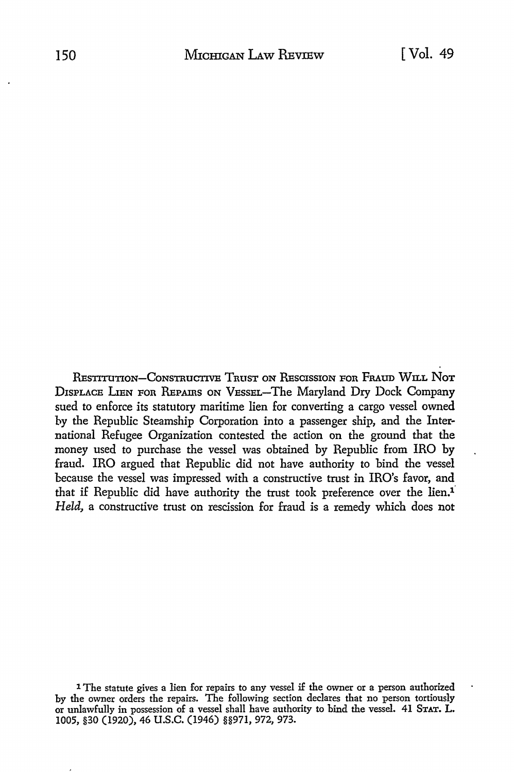RESTITUTION-CONSTRUCTIVE TRUST ON RESCISSION FOR FRAUD WILL NOT DISPLACE LlEN FOR REPAIRS ON VESSEL-The Maryland Dry Dock Company sued to enforce its statutory maritime lien for converting a cargo vessel owned by the Republic Steamship Corporation into a passenger ship, and the International Refugee Organization contested the action on the ground that the money used to purchase the vessel was obtained by Republic from IRO by fraud. IRO argued that Republic did not have authority to bind the vessel because the vessel was impressed with a constructive trust in IRO's favor, and that if Republic did have authority the trust took preference over the  $lin.1$ *Held,* a constructive trust on rescission for fraud is a remedy which does not

l The statute gives a lien for repairs to any vessel if the owner or a person authorized by the owner orders the repairs. The following section declares that no person tortiously or unlawfully in possession of a vessel shall have authority to bind the vessel. 41 STAT. L. 1005, §30 (1920), 46 u.s.c. (1946) §§971, 972, 973.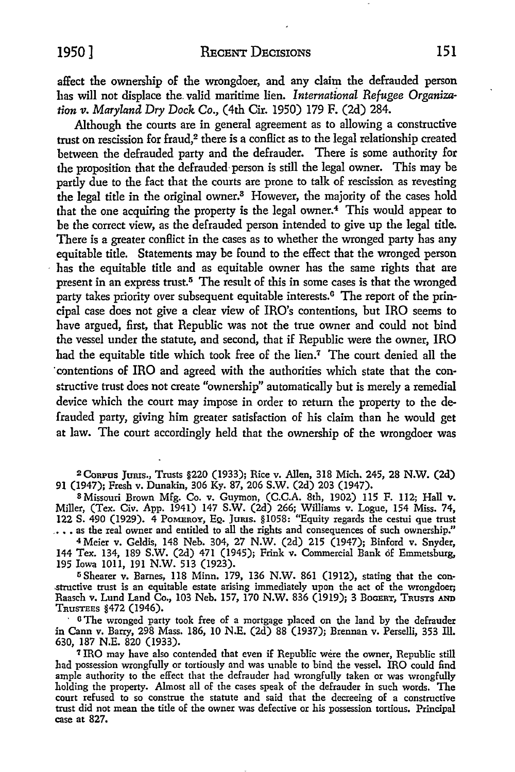affect the ownership of the wrongdoer, and any claim the defrauded person has will not displace the. valid maritime lien. *International Refugee Organization v. Maryland Dry Dock* Co., (4th Cir. 1950) 179 F. (2d) 284.

Although the courts are in general agreement as to allowing a constructive trust on rescission for fraud,<sup>2</sup> there is a conflict as to the legal relationship created between the defrauded party and the defrauder. There is some authority for the proposition that the defrauded-person is still the legal owner. This may be partly due to the fact that the courts are prone to talk of rescission as revesting the legal title in the original owner.<sup>3</sup> However, the majority of the cases hold that the one acquiring the property is the legal owner.<sup>4</sup>This would appear *to*  be the correct view, as the defrauded person intended to give up the legal title. There is a greater conflict in the cases as to whether the wronged party has any equitable title. Statements may be found to the effect that the wronged person has the equitable title and as equitable owner has the same rights that are present in an express trust.5 The result of this in some cases is that the wronged party takes priority over subsequent equitable interests.<sup>6</sup> The report of the principal case does not give a clear view of IRO's contentions, but IRO seems to have argued, first, that Republic was not the true owner and could not bind the vessel under the statute, and second, that if Republic were the owner, IRO had the equitable title which took free of the lien.7 The court denied all the ·contentions of IRO and agreed with the authorities which state that the constructive trust does not create "ownership" automatically but is merely a remedial device which the court may impose in order to return the property to the defrauded party, giving him greater satisfaction of his claim than he would get at law. The court accordingly held that the ownership of the wrongdoer was

<sup>2</sup>CoRPUS JtJRis., Trusts §220 (1933); Rice v. Allen, 318 Mich. 245, 28 N.W. (2d) 91 (1947); Fresh v. Dunakin, 306 Ky. 87, 206 S.W. (2d) 203 (1947).

<sup>8</sup>Missouri Brown Mfg. Co. v. Guymon, (C.C.A. 8th, 1902) 115 F. 112; Hall v. Miller, (Tex. Civ. App. 1941) 147 S.W. (2d) 266; Williams v. Logue, 154 Miss. 74, 122 S. 490 (1929). 4 POMEROY, EQ. Jams. §1058: "Equity regards the cestui que trust .••• as the real owner and entitled to all the rights and consequences of such ownership."

<sup>4</sup>Meier v. Geldis, 148 Neb. 304, 27 N.W. (2d) 215 (1947); Binford v. Snyder, 144 Tex. 134, 189 S.W. (2d) 471 (1945); Frink v. Commercial Bank of Emmetsburg, 195 Iowa lOll, 191 N.W. 513 (1923).

<sup>5</sup> Shearer v. Barnes, 118 Minn. 179, 136 N.W. 861 (1912), stating that the con-.structive trust is an equitable estate arising immediately upon the act of the wrongdoer; Raasch v. Lund Land Co., 103 Neb. 157, 170 N.W. 836 (1919); 3 BOGERT, TRUSTS AND TRUSTEES §472 (1946).

• O The wronged party took free of a mortgage placed on the land by the defrauder in Cann v. Barry, 298 Mass. 186, 10 N.E. (2d) 88 (1937); Brennan v. Perselli, 353 Ill. 630, 187 N.E. 820 (1933).

7 IRO may have also contended that even if Republic were the owner, Republic still had possession wrongfully or tortiously and was unable to bind the vessel. IRO could find ample authority to the effect that the defrauder had wrongfully taken or was wrongfully holding the property. Almost all of the cases speak of the defrauder *in* such words. The court refused to so construe the statute and said that the decreeing of a constructive trust did not mean the title of the owner was defective or his possession tortious. Principal case at 827.